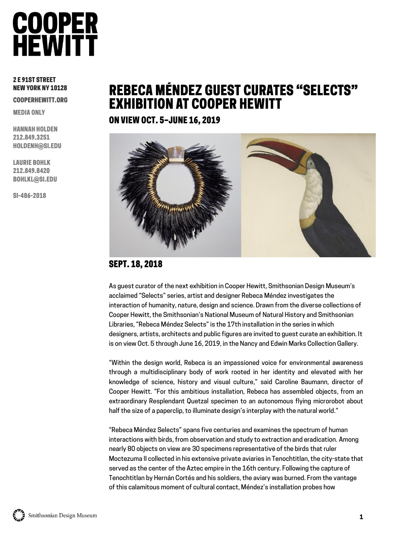### 2 E 91ST STREET NEW YORK NY 10128

COOPERHEWITT.ORG

MEDIA ONLY

HANNAH HOLDEN 212.849.3251 HOLDENH@SI.EDU

LAURIE BOHLK 212.849.8420 BOHLKL@SI.EDU

SI-486-2018

### REBECA MÉNDEZ GUEST CURATES "SELECTS" EXHIBITION AT COOPER HEWITT

ON VIEW OCT. 5–JUNE 16, 2019



### SEPT. 18, 2018

As guest curator of the next exhibition in Cooper Hewitt, Smithsonian Design Museum's acclaimed "Selects" series, artist and designer Rebeca Méndez investigates the interaction of humanity, nature, design and science. Drawn from the diverse collections of Cooper Hewitt, the Smithsonian's National Museum of Natural History and Smithsonian Libraries, "Rebeca Méndez Selects" is the 17th installation in the series in which designers, artists, architects and public figures are invited to guest curate an exhibition. It is on view Oct. 5 through June 16, 2019, in the Nancy and Edwin Marks Collection Gallery.

"Within the design world, Rebeca is an impassioned voice for environmental awareness through a multidisciplinary body of work rooted in her identity and elevated with her knowledge of science, history and visual culture," said Caroline Baumann, director of Cooper Hewitt. "For this ambitious installation, Rebeca has assembled objects, from an extraordinary Resplendant Quetzal specimen to an autonomous flying microrobot about half the size of a paperclip, to illuminate design's interplay with the natural world."

"Rebeca Méndez Selects" spans five centuries and examines the spectrum of human interactions with birds, from observation and study to extraction and eradication. Among nearly 80 objects on view are 30 specimens representative of the birds that ruler Moctezuma II collected in his extensive private aviaries in Tenochtitlan, the city-state that served as the center of the Aztec empire in the 16th century. Following the capture of Tenochtitlan by Hernán Cortés and his soldiers, the aviary was burned. From the vantage of this calamitous moment of cultural contact, Méndez's installation probes how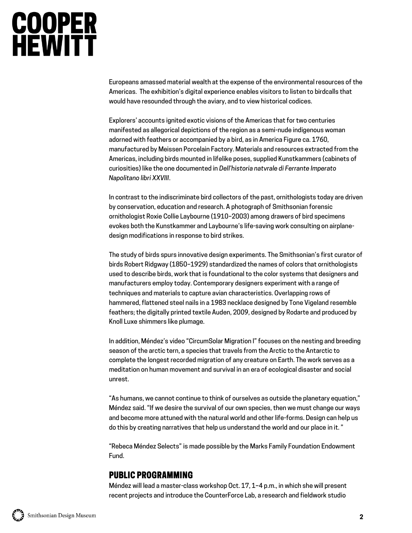Europeans amassed material wealth at the expense of the environmental resources of the Americas. The exhibition's digital experience enables visitors to listen to birdcalls that would have resounded through the aviary, and to view historical codices.

Explorers' accounts ignited exotic visions of the Americas that for two centuries manifested as allegorical depictions of the region as a semi-nude indigenous woman adorned with feathers or accompanied by a bird, as in America Figure ca. 1760, manufactured by Meissen Porcelain Factory. Materials and resources extracted from the Americas, including birds mounted in lifelike poses, supplied Kunstkammers (cabinets of curiosities) like the one documented in *Dell'historia natvrale di Ferrante Imperato Napolitano libri XXVIII*.

In contrast to the indiscriminate bird collectors of the past, ornithologists today are driven by conservation, education and research. A photograph of Smithsonian forensic ornithologist Roxie Collie Laybourne (1910–2003) among drawers of bird specimens evokes both the Kunstkammer and Laybourne's life-saving work consulting on airplanedesign modifications in response to bird strikes.

The study of birds spurs innovative design experiments. The Smithsonian's first curator of birds Robert Ridgway (1850–1929) standardized the names of colors that ornithologists used to describe birds, work that is foundational to the color systems that designers and manufacturers employ today. Contemporary designers experiment with a range of techniques and materials to capture avian characteristics. Overlapping rows of hammered, flattened steel nails in a 1983 necklace designed by Tone Vigeland resemble feathers; the digitally printed textile Auden, 2009, designed by Rodarte and produced by Knoll Luxe shimmers like plumage.

In addition, Méndez's video "CircumSolar Migration I" focuses on the nesting and breeding season of the arctic tern, a species that travels from the Arctic to the Antarctic to complete the longest recorded migration of any creature on Earth. The work serves as a meditation on human movement and survival in an era of ecological disaster and social unrest.

"As humans, we cannot continue to think of ourselves as outside the planetary equation," Méndez said. "If we desire the survival of our own species, then we must change our ways and become more attuned with the natural world and other life-forms. Design can help us do this by creating narratives that help us understand the world and our place in it. "

"Rebeca Méndez Selects" is made possible by the Marks Family Foundation Endowment Fund.

### PUBLIC PROGRAMMING

Méndez will lead a master-class workshop Oct. 17, 1–4 p.m., in which she will present recent projects and introduce the CounterForce Lab, a research and fieldwork studio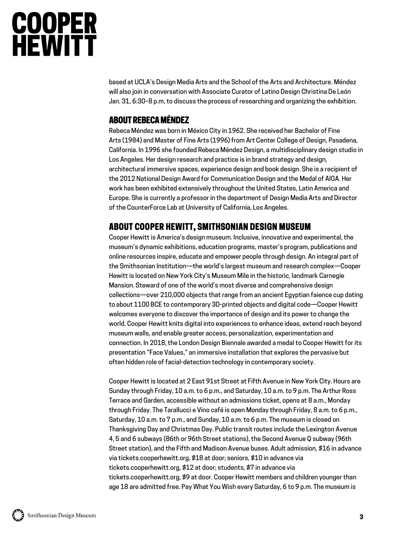based at UCLA's Design Media Arts and the School of the Arts and Architecture. Méndez will also join in conversation with Associate Curator of Latino Design Christina De León Jan. 31, 6:30–8 p.m, to discuss the process of researching and organizing the exhibition.

### ABOUT REBECA MÉNDEZ

Rebeca Méndez was born in México City in 1962. She received her Bachelor of Fine Arts (1984) and Master of Fine Arts (1996) from Art Center College of Design, Pasadena, California. In 1996 she founded Rebeca Méndez Design, a multidisciplinary design studio in Los Angeles. Her design research and practice is in brand strategy and design, architectural immersive spaces, experience design and book design. She is a recipient of the 2012 National Design Award for Communication Design and the Medal of AIGA. Her work has been exhibited extensively throughout the United States, Latin America and Europe. She is currently a professor in the department of Design Media Arts and Director of the CounterForce Lab at University of California, Los Angeles.

### ABOUT COOPER HEWITT, SMITHSONIAN DESIGN MUSEUM

Cooper Hewitt is America's design museum. Inclusive, innovative and experimental, the museum's dynamic exhibitions, education programs, master's program, publications and online resources inspire, educate and empower people through design. An integral part of the Smithsonian Institution—the world's largest museum and research complex—Cooper Hewitt is located on New York City's Museum Mile in the historic, landmark Carnegie Mansion. Steward of one of the world's most diverse and comprehensive design collections—over 210,000 objects that range from an ancient Egyptian faience cup dating to about 1100 BCE to contemporary 3D-printed objects and digital code—Cooper Hewitt welcomes everyone to discover the importance of design and its power to change the world. Cooper Hewitt knits digital into experiences to enhance ideas, extend reach beyond museum walls, and enable greater access, personalization, experimentation and connection. In 2018, the London Design Biennale awarded a medal to Cooper Hewitt for its presentation "Face Values," an immersive installation that explores the pervasive but often hidden role of facial-detection technology in contemporary society.

Cooper Hewitt is located at 2 East 91st Street at Fifth Avenue in New York City. Hours are Sunday through Friday, 10 a.m. to 6 p.m., and Saturday, 10 a.m. to 9 p.m. The Arthur Ross Terrace and Garden, accessible without an admissions ticket, opens at 8 a.m., Monday through Friday. The Tarallucci e Vino café is open Monday through Friday, 8 a.m. to 6 p.m., Saturday, 10 a.m. to 7 p.m., and Sunday, 10 a.m. to 6 p.m. The museum is closed on Thanksgiving Day and Christmas Day. Public transit routes include the Lexington Avenue 4, 5 and 6 subways (86th or 96th Street stations), the Second Avenue Q subway (96th Street station), and the Fifth and Madison Avenue buses. Adult admission, \$16 in advance via tickets.cooperhewitt.org, \$18 at door; seniors, \$10 in advance via tickets.cooperhewitt.org, \$12 at door; students, \$7 in advance via tickets.cooperhewitt.org, \$9 at door. Cooper Hewitt members and children younger than age 18 are admitted free. Pay What You Wish every Saturday, 6 to 9 p.m. The museum is